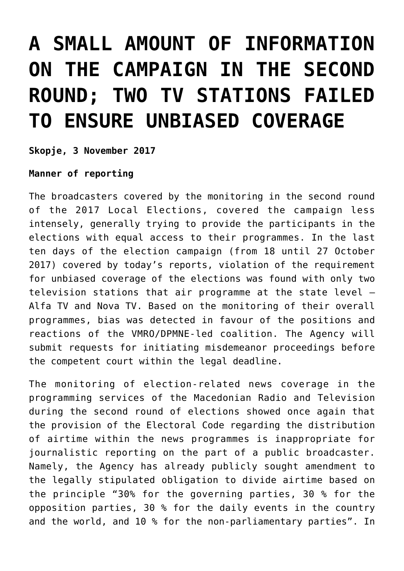## **[A SMALL AMOUNT OF INFORMATION](https://avmu.mk/en/2017/11/03/a-small-amount-of-information-on-the-campaign-in-the-second-round-two-tv-stations-failed-to-ensure-unbiased-coverage/) [ON THE CAMPAIGN IN THE SECOND](https://avmu.mk/en/2017/11/03/a-small-amount-of-information-on-the-campaign-in-the-second-round-two-tv-stations-failed-to-ensure-unbiased-coverage/) [ROUND; TWO TV STATIONS FAILED](https://avmu.mk/en/2017/11/03/a-small-amount-of-information-on-the-campaign-in-the-second-round-two-tv-stations-failed-to-ensure-unbiased-coverage/) [TO ENSURE UNBIASED COVERAGE](https://avmu.mk/en/2017/11/03/a-small-amount-of-information-on-the-campaign-in-the-second-round-two-tv-stations-failed-to-ensure-unbiased-coverage/)**

**Skopje, 3 November 2017**

**Manner of reporting**

The broadcasters covered by the monitoring in the second round of the 2017 Local Elections, covered the campaign less intensely, generally trying to provide the participants in the elections with equal access to their programmes. In the last ten days of the election campaign (from 18 until 27 October 2017) covered by today's reports, violation of the requirement for unbiased coverage of the elections was found with only two television stations that air programme at the state level – Alfa TV and Nova TV. Based on the monitoring of their overall programmes, bias was detected in favour of the positions and reactions of the VMRO/DPMNE-led coalition. The Agency will submit requests for initiating misdemeanor proceedings before the competent court within the legal deadline.

The monitoring of election-related news coverage in the programming services of the Macedonian Radio and Television during the second round of elections showed once again that the provision of the Electoral Code regarding the distribution of airtime within the news programmes is inappropriate for journalistic reporting on the part of a public broadcaster. Namely, the Agency has already publicly sought amendment to the legally stipulated obligation to divide airtime based on the principle "30% for the governing parties, 30 % for the opposition parties, 30 % for the daily events in the country and the world, and 10 % for the non-parliamentary parties". In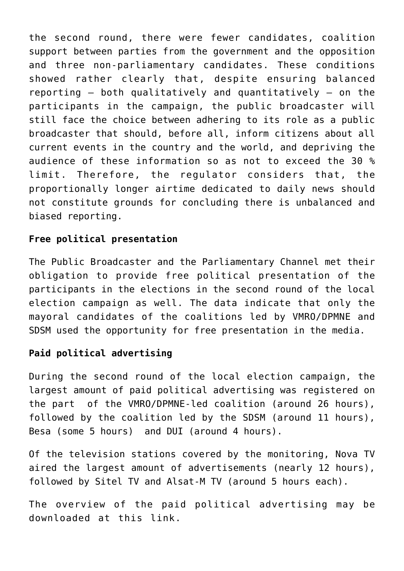the second round, there were fewer candidates, coalition support between parties from the government and the opposition and three non-parliamentary candidates. These conditions showed rather clearly that, despite ensuring balanced reporting – both qualitatively and quantitatively – on the participants in the campaign, the public broadcaster will still face the choice between adhering to its role as a public broadcaster that should, before all, inform citizens about all current events in the country and the world, and depriving the audience of these information so as not to exceed the 30 % limit. Therefore, the regulator considers that, the proportionally longer airtime dedicated to daily news should not constitute grounds for concluding there is unbalanced and biased reporting.

## **Free political presentation**

The Public Broadcaster and the Parliamentary Channel met their obligation to provide free political presentation of the participants in the elections in the second round of the local election campaign as well. The data indicate that only the mayoral candidates of the coalitions led by VMRO/DPMNE and SDSM used the opportunity for free presentation in the media.

## **Paid political advertising**

During the second round of the local election campaign, the largest amount of paid political advertising was registered on the part of the VMRO/DPMNE-led coalition (around 26 hours), followed by the coalition led by the SDSM (around 11 hours), Besa (some 5 hours) and DUI (around 4 hours).

Of the television stations covered by the monitoring, Nova TV aired the largest amount of advertisements (nearly 12 hours), followed by Sitel TV and Alsat-M TV (around 5 hours each).

The overview of the paid political advertising may be downloaded at this [link.](http://avmu.mk/wp-content/uploads/2017/11/%D0%9F%D1%80%D0%B5%D0%B3%D0%BB%D0%B5%D0%B4%D0%BE%D1%82-%D0%BD%D0%B0-%D0%BF%D0%BB%D0%B0%D1%82%D0%B5%D0%BD%D0%BE%D1%82%D0%BE-%D0%BF%D0%BE%D0%BB%D0%B8%D1%82%D0%B8%D1%87%D0%BA%D0%BE-%D1%80%D0%B5%D0%BA%D0%BB%D0%B0%D0%BC%D0%B8%D1%80%D0%B0%D1%9A%D0%B5.pdf)